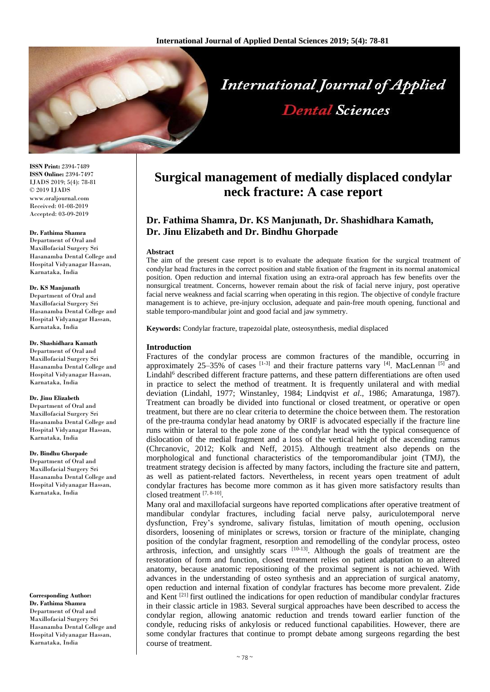

**ISSN Print:** 2394-7489 **ISSN Online:** 2394-7497 IJADS 2019; 5(4): 78-81 © 2019 IJADS www.oraljournal.com Received: 01-08-2019 Accepted: 03-09-2019

#### **Dr. Fathima Shamra**

Department of Oral and Maxillofacial Surgery Sri Hasanamba Dental College and Hospital Vidyanagar Hassan, Karnataka, India

#### **Dr. KS Manjunath**

Department of Oral and Maxillofacial Surgery Sri Hasanamba Dental College and Hospital Vidyanagar Hassan, Karnataka, India

#### **Dr. Shashidhara Kamath**

Department of Oral and Maxillofacial Surgery Sri Hasanamba Dental College and Hospital Vidyanagar Hassan, Karnataka, India

#### **Dr. Jinu Elizabeth**

Department of Oral and Maxillofacial Surgery Sri Hasanamba Dental College and Hospital Vidyanagar Hassan, Karnataka, India

#### **Dr. Bindhu Ghorpade**

Department of Oral and Maxillofacial Surgery Sri Hasanamba Dental College and Hospital Vidyanagar Hassan, Karnataka, India

**Corresponding Author: Dr. Fathima Shamra** Department of Oral and Maxillofacial Surgery Sri Hasanamba Dental College and Hospital Vidyanagar Hassan, Karnataka, India

# **Surgical management of medially displaced condylar neck fracture: A case report**

# **Dr. Fathima Shamra, Dr. KS Manjunath, Dr. Shashidhara Kamath, Dr. Jinu Elizabeth and Dr. Bindhu Ghorpade**

#### **Abstract**

The aim of the present case report is to evaluate the adequate fixation for the surgical treatment of condylar head fractures in the correct position and stable fixation of the fragment in its normal anatomical position. Open reduction and internal fixation using an extra-oral approach has few benefits over the nonsurgical treatment. Concerns, however remain about the risk of facial nerve injury, post operative facial nerve weakness and facial scarring when operating in this region. The objective of condyle fracture management is to achieve, pre-injury occlusion, adequate and pain-free mouth opening, functional and stable temporo-mandibular joint and good facial and jaw symmetry.

**Keywords:** Condylar fracture, trapezoidal plate, osteosynthesis, medial displaced

# **Introduction**

Fractures of the condylar process are common fractures of the mandible, occurring in approximately 25–35% of cases  $[1-3]$  and their fracture patterns vary  $[4]$ . MacLennan  $[5]$  and Lindahl<sup>6</sup> described different fracture patterns, and these pattern differentiations are often used in practice to select the method of treatment. It is frequently unilateral and with medial deviation (Lindahl, 1977; Winstanley, 1984; Lindqvist *et al*., 1986; Amaratunga, 1987). Treatment can broadly be divided into functional or closed treatment, or operative or open treatment, but there are no clear criteria to determine the choice between them. The restoration of the pre-trauma condylar head anatomy by ORIF is advocated especially if the fracture line runs within or lateral to the pole zone of the condylar head with the typical consequence of dislocation of the medial fragment and a loss of the vertical height of the ascending ramus (Chrcanovic, 2012; Kolk and Neff, 2015). Although treatment also depends on the morphological and functional characteristics of the temporomandibular joint (TMJ), the treatment strategy decision is affected by many factors, including the fracture site and pattern, as well as patient-related factors. Nevertheless, in recent years open treatment of adult condylar fractures has become more common as it has given more satisfactory results than closed treatment [7, 8-10] .

Many oral and maxillofacial surgeons have reported complications after operative treatment of mandibular condylar fractures, including facial nerve palsy, auriculotemporal nerve dysfunction, Frey's syndrome, salivary fistulas, limitation of mouth opening, occlusion disorders, loosening of miniplates or screws, torsion or fracture of the miniplate, changing position of the condylar fragment, resorption and remodelling of the condylar process, osteo arthrosis, infection, and unsightly scars  $[10-13]$ . Although the goals of treatment are the restoration of form and function, closed treatment relies on patient adaptation to an altered anatomy, because anatomic repositioning of the proximal segment is not achieved. With advances in the understanding of osteo synthesis and an appreciation of surgical anatomy, open reduction and internal fixation of condylar fractures has become more prevalent. Zide and Kent <sup>[21]</sup> first outlined the indications for open reduction of mandibular condylar fractures in their classic article in 1983. Several surgical approaches have been described to access the condylar region, allowing anatomic reduction and trends toward earlier function of the condyle, reducing risks of ankylosis or reduced functional capabilities. However, there are some condylar fractures that continue to prompt debate among surgeons regarding the best course of treatment.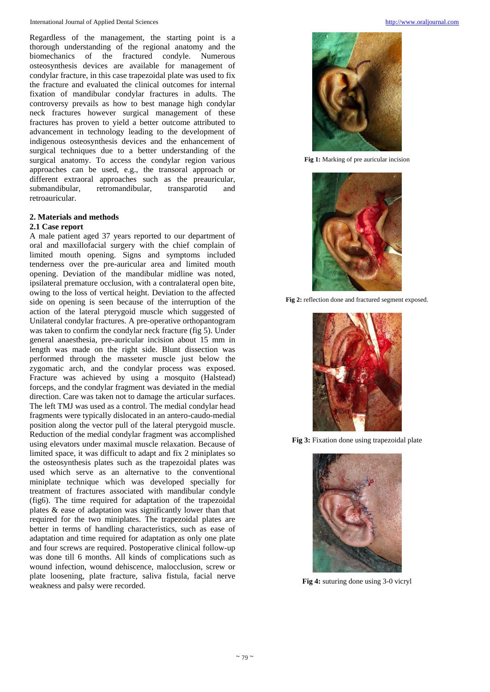Regardless of the management, the starting point is a thorough understanding of the regional anatomy and the biomechanics of the fractured condyle. Numerous osteosynthesis devices are available for management of condylar fracture, in this case trapezoidal plate was used to fix the fracture and evaluated the clinical outcomes for internal fixation of mandibular condylar fractures in adults. The controversy prevails as how to best manage high condylar neck fractures however surgical management of these fractures has proven to yield a better outcome attributed to advancement in technology leading to the development of indigenous osteosynthesis devices and the enhancement of surgical techniques due to a better understanding of the surgical anatomy. To access the condylar region various approaches can be used, e.g., the transoral approach or different extraoral approaches such as the preauricular, submandibular, retromandibular, transparotid and retroauricular.

# **2. Materials and methods**

# **2.1 Case report**

A male patient aged 37 years reported to our department of oral and maxillofacial surgery with the chief complain of limited mouth opening. Signs and symptoms included tenderness over the pre-auricular area and limited mouth opening. Deviation of the mandibular midline was noted, ipsilateral premature occlusion, with a contralateral open bite, owing to the loss of vertical height. Deviation to the affected side on opening is seen because of the interruption of the action of the lateral pterygoid muscle which suggested of Unilateral condylar fractures. A pre-operative orthopantogram was taken to confirm the condylar neck fracture (fig 5). Under general anaesthesia, pre-auricular incision about 15 mm in length was made on the right side. Blunt dissection was performed through the masseter muscle just below the zygomatic arch, and the condylar process was exposed. Fracture was achieved by using a mosquito (Halstead) forceps, and the condylar fragment was deviated in the medial direction. Care was taken not to damage the articular surfaces. The left TMJ was used as a control. The medial condylar head fragments were typically dislocated in an antero-caudo-medial position along the vector pull of the lateral pterygoid muscle. Reduction of the medial condylar fragment was accomplished using elevators under maximal muscle relaxation. Because of limited space, it was difficult to adapt and fix 2 miniplates so the osteosynthesis plates such as the trapezoidal plates was used which serve as an alternative to the conventional miniplate technique which was developed specially for treatment of fractures associated with mandibular condyle (fig6). The time required for adaptation of the trapezoidal plates & ease of adaptation was significantly lower than that required for the two miniplates. The trapezoidal plates are better in terms of handling characteristics, such as ease of adaptation and time required for adaptation as only one plate and four screws are required. Postoperative clinical follow-up was done till 6 months. All kinds of complications such as wound infection, wound dehiscence, malocclusion, screw or plate loosening, plate fracture, saliva fistula, facial nerve weakness and palsy were recorded.



**Fig 1:** Marking of pre auricular incision



**Fig 2:** reflection done and fractured segment exposed.



**Fig 3:** Fixation done using trapezoidal plate



**Fig 4:** suturing done using 3-0 vicryl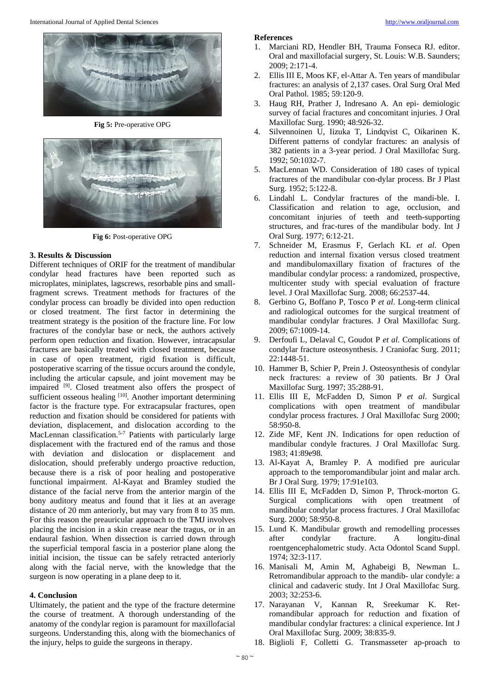

**Fig 5:** Pre-operative OPG



**Fig 6:** Post-operative OPG

# **3. Results & Discussion**

Different techniques of ORIF for the treatment of mandibular condylar head fractures have been reported such as microplates, miniplates, lagscrews, resorbable pins and smallfragment screws. Treatment methods for fractures of the condylar process can broadly be divided into open reduction or closed treatment. The first factor in determining the treatment strategy is the position of the fracture line. For low fractures of the condylar base or neck, the authors actively perform open reduction and fixation. However, intracapsular fractures are basically treated with closed treatment, because in case of open treatment, rigid fixation is difficult, postoperative scarring of the tissue occurs around the condyle, including the articular capsule, and joint movement may be impaired <sup>[9]</sup>. Closed treatment also offers the prospect of sufficient osseous healing [10]. Another important determining factor is the fracture type. For extracapsular fractures, open reduction and fixation should be considered for patients with deviation, displacement, and dislocation according to the MacLennan classification.<sup>5-7</sup> Patients with particularly large displacement with the fractured end of the ramus and those with deviation and dislocation or displacement and dislocation, should preferably undergo proactive reduction, because there is a risk of poor healing and postoperative functional impairment. Al-Kayat and Bramley studied the distance of the facial nerve from the anterior margin of the bony auditory meatus and found that it lies at an average distance of 20 mm anteriorly, but may vary from 8 to 35 mm. For this reason the preauricular approach to the TMJ involves placing the incision in a skin crease near the tragus, or in an endaural fashion. When dissection is carried down through the superficial temporal fascia in a posterior plane along the initial incision, the tissue can be safely retracted anteriorly along with the facial nerve, with the knowledge that the surgeon is now operating in a plane deep to it.

# **4. Conclusion**

Ultimately, the patient and the type of the fracture determine the course of treatment. A thorough understanding of the anatomy of the condylar region is paramount for maxillofacial surgeons. Understanding this, along with the biomechanics of the injury, helps to guide the surgeons in therapy.

# **References**

- 1. Marciani RD, Hendler BH, Trauma Fonseca RJ. editor. Oral and maxillofacial surgery, St. Louis: W.B. Saunders; 2009; 2:171-4.
- 2. Ellis III E, Moos KF, el-Attar A. Ten years of mandibular fractures: an analysis of 2,137 cases. Oral Surg Oral Med Oral Pathol. 1985; 59:120-9.
- 3. Haug RH, Prather J, Indresano A. An epi- demiologic survey of facial fractures and concomitant injuries. J Oral Maxillofac Surg. 1990; 48:926-32.
- 4. Silvennoinen U, Iizuka T, Lindqvist C, Oikarinen K. Different patterns of condylar fractures: an analysis of 382 patients in a 3-year period. J Oral Maxillofac Surg. 1992; 50:1032-7.
- 5. MacLennan WD. Consideration of 180 cases of typical fractures of the mandibular con-dylar process. Br J Plast Surg. 1952; 5:122-8.
- 6. Lindahl L. Condylar fractures of the mandi-ble. I. Classification and relation to age, occlusion, and concomitant injuries of teeth and teeth-supporting structures, and frac-tures of the mandibular body. Int J Oral Surg. 1977; 6:12-21.
- 7. Schneider M, Erasmus F, Gerlach KL *et al*. Open reduction and internal fixation versus closed treatment and mandibulomaxillary fixation of fractures of the mandibular condylar process: a randomized, prospective, multicenter study with special evaluation of fracture level. J Oral Maxillofac Surg. 2008; 66:2537-44.
- 8. Gerbino G, Boffano P, Tosco P *et al*. Long-term clinical and radiological outcomes for the surgical treatment of mandibular condylar fractures. J Oral Maxillofac Surg. 2009; 67:1009-14.
- 9. Derfoufi L, Delaval C, Goudot P *et al*. Complications of condylar fracture osteosynthesis. J Craniofac Surg. 2011; 22:1448-51.
- 10. Hammer B, Schier P, Prein J. Osteosynthesis of condylar neck fractures: a review of 30 patients. Br J Oral Maxillofac Surg. 1997; 35:288-91.
- 11. Ellis III E, McFadden D, Simon P *et al*. Surgical complications with open treatment of mandibular condylar process fractures. J Oral Maxillofac Surg 2000; 58:950-8.
- 12. Zide MF, Kent JN. Indications for open reduction of mandibular condyle fractures. J Oral Maxillofac Surg. 1983; 41:89e98.
- 13. Al-Kayat A, Bramley P. A modified pre auricular approach to the temporomandibular joint and malar arch. Br J Oral Surg. 1979; 17:91e103.
- 14. Ellis III E, McFadden D, Simon P, Throck-morton G. Surgical complications with open treatment of mandibular condylar process fractures. J Oral Maxillofac Surg. 2000; 58:950-8.
- 15. Lund K. Mandibular growth and remodelling processes after condylar fracture. A longitu-dinal roentgencephalometric study. Acta Odontol Scand Suppl. 1974; 32:3-117.
- 16. Manisali M, Amin M, Aghabeigi B, Newman L. Retromandibular approach to the mandib- ular condyle: a clinical and cadaveric study. Int J Oral Maxillofac Surg. 2003; 32:253-6.
- 17. Narayanan V, Kannan R, Sreekumar K. Retromandibular approach for reduction and fixation of mandibular condylar fractures: a clinical experience. Int J Oral Maxillofac Surg. 2009; 38:835-9.
- 18. Biglioli F, Colletti G. Transmasseter ap-proach to